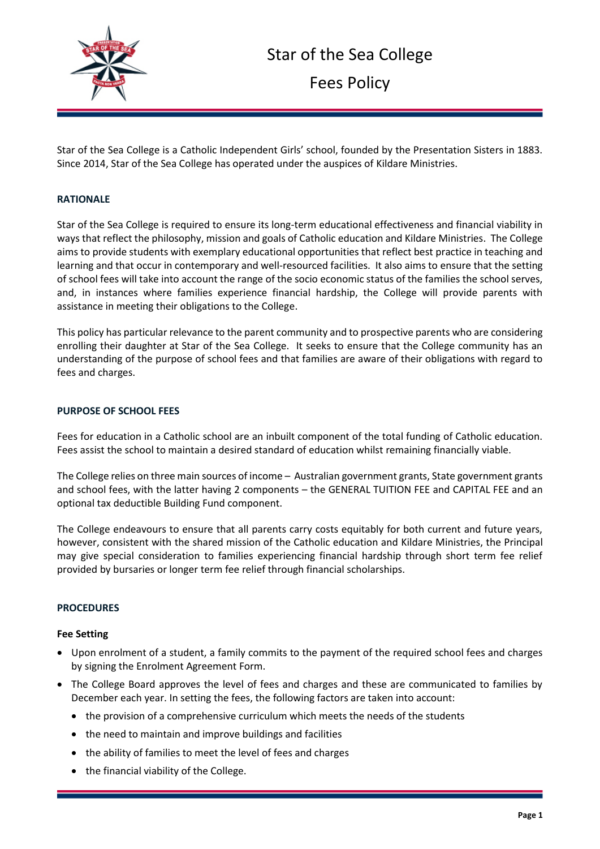

Star of the Sea College is a Catholic Independent Girls' school, founded by the Presentation Sisters in 1883. Since 2014, Star of the Sea College has operated under the auspices of Kildare Ministries.

#### **RATIONALE**

Star of the Sea College is required to ensure its long-term educational effectiveness and financial viability in ways that reflect the philosophy, mission and goals of Catholic education and Kildare Ministries. The College aims to provide students with exemplary educational opportunities that reflect best practice in teaching and learning and that occur in contemporary and well-resourced facilities. It also aims to ensure that the setting of school fees will take into account the range of the socio economic status of the families the school serves, and, in instances where families experience financial hardship, the College will provide parents with assistance in meeting their obligations to the College.

This policy has particular relevance to the parent community and to prospective parents who are considering enrolling their daughter at Star of the Sea College. It seeks to ensure that the College community has an understanding of the purpose of school fees and that families are aware of their obligations with regard to fees and charges.

#### **PURPOSE OF SCHOOL FEES**

Fees for education in a Catholic school are an inbuilt component of the total funding of Catholic education. Fees assist the school to maintain a desired standard of education whilst remaining financially viable.

The College relies on three main sources of income – Australian government grants, State government grants and school fees, with the latter having 2 components – the GENERAL TUITION FEE and CAPITAL FEE and an optional tax deductible Building Fund component.

The College endeavours to ensure that all parents carry costs equitably for both current and future years, however, consistent with the shared mission of the Catholic education and Kildare Ministries, the Principal may give special consideration to families experiencing financial hardship through short term fee relief provided by bursaries or longer term fee relief through financial scholarships.

#### **PROCEDURES**

#### **Fee Setting**

- Upon enrolment of a student, a family commits to the payment of the required school fees and charges by signing the Enrolment Agreement Form.
- The College Board approves the level of fees and charges and these are communicated to families by December each year. In setting the fees, the following factors are taken into account:
	- the provision of a comprehensive curriculum which meets the needs of the students
	- the need to maintain and improve buildings and facilities
	- the ability of families to meet the level of fees and charges
	- the financial viability of the College.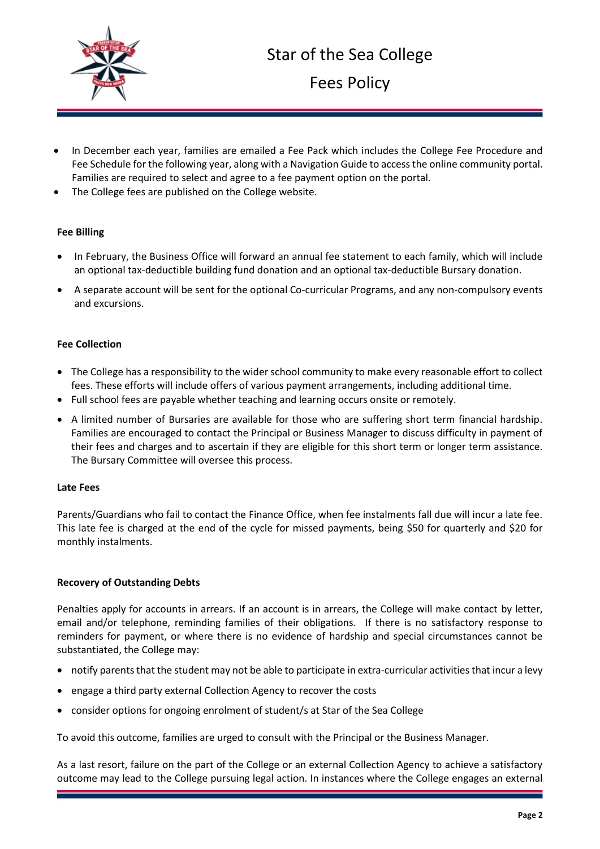

Fees Policy

- In December each year, families are emailed a Fee Pack which includes the College Fee Procedure and Fee Schedule for the following year, along with a Navigation Guide to access the online community portal. Families are required to select and agree to a fee payment option on the portal.
- The College fees are published on the College website.

## **Fee Billing**

- In February, the Business Office will forward an annual fee statement to each family, which will include an optional tax-deductible building fund donation and an optional tax-deductible Bursary donation.
- A separate account will be sent for the optional Co-curricular Programs, and any non-compulsory events and excursions.

## **Fee Collection**

- The College has a responsibility to the wider school community to make every reasonable effort to collect fees. These efforts will include offers of various payment arrangements, including additional time.
- Full school fees are payable whether teaching and learning occurs onsite or remotely.
- A limited number of Bursaries are available for those who are suffering short term financial hardship. Families are encouraged to contact the Principal or Business Manager to discuss difficulty in payment of their fees and charges and to ascertain if they are eligible for this short term or longer term assistance. The Bursary Committee will oversee this process.

#### **Late Fees**

Parents/Guardians who fail to contact the Finance Office, when fee instalments fall due will incur a late fee. This late fee is charged at the end of the cycle for missed payments, being \$50 for quarterly and \$20 for monthly instalments.

#### **Recovery of Outstanding Debts**

Penalties apply for accounts in arrears. If an account is in arrears, the College will make contact by letter, email and/or telephone, reminding families of their obligations. If there is no satisfactory response to reminders for payment, or where there is no evidence of hardship and special circumstances cannot be substantiated, the College may:

- notify parents that the student may not be able to participate in extra-curricular activities that incur a levy
- engage a third party external Collection Agency to recover the costs
- consider options for ongoing enrolment of student/s at Star of the Sea College

To avoid this outcome, families are urged to consult with the Principal or the Business Manager.

As a last resort, failure on the part of the College or an external Collection Agency to achieve a satisfactory outcome may lead to the College pursuing legal action. In instances where the College engages an external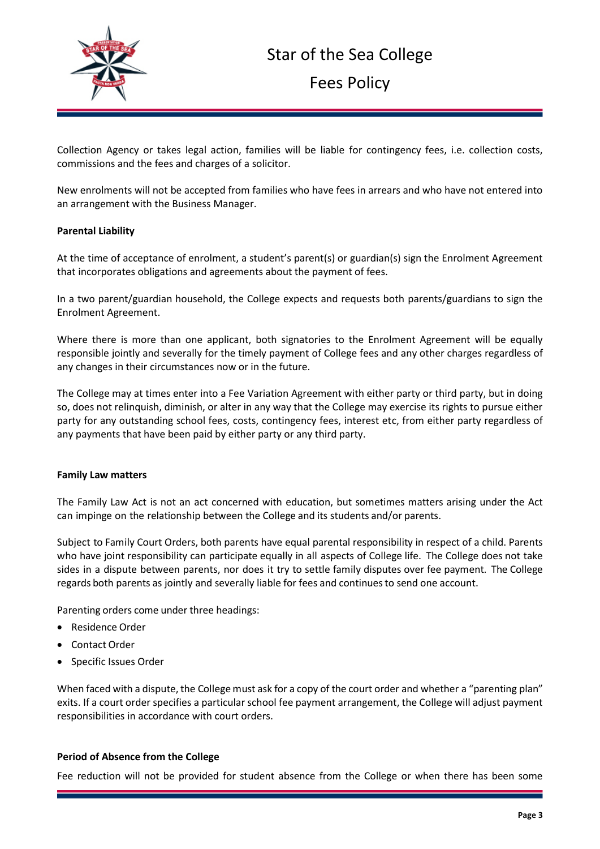

# Star of the Sea College

Fees Policy

Collection Agency or takes legal action, families will be liable for contingency fees, i.e. collection costs, commissions and the fees and charges of a solicitor.

New enrolments will not be accepted from families who have fees in arrears and who have not entered into an arrangement with the Business Manager.

## **Parental Liability**

At the time of acceptance of enrolment, a student's parent(s) or guardian(s) sign the Enrolment Agreement that incorporates obligations and agreements about the payment of fees.

In a two parent/guardian household, the College expects and requests both parents/guardians to sign the Enrolment Agreement.

Where there is more than one applicant, both signatories to the Enrolment Agreement will be equally responsible jointly and severally for the timely payment of College fees and any other charges regardless of any changes in their circumstances now or in the future.

The College may at times enter into a Fee Variation Agreement with either party or third party, but in doing so, does not relinquish, diminish, or alter in any way that the College may exercise its rights to pursue either party for any outstanding school fees, costs, contingency fees, interest etc, from either party regardless of any payments that have been paid by either party or any third party.

#### **Family Law matters**

The Family Law Act is not an act concerned with education, but sometimes matters arising under the Act can impinge on the relationship between the College and its students and/or parents.

Subject to Family Court Orders, both parents have equal parental responsibility in respect of a child. Parents who have joint responsibility can participate equally in all aspects of College life. The College does not take sides in a dispute between parents, nor does it try to settle family disputes over fee payment. The College regards both parents as jointly and severally liable for fees and continuesto send one account.

Parenting orders come under three headings:

- Residence Order
- Contact Order
- Specific Issues Order

When faced with a dispute, the College must ask for a copy of the court order and whether a "parenting plan" exits. If a court order specifies a particular school fee payment arrangement, the College will adjust payment responsibilities in accordance with court orders.

#### **Period of Absence from the College**

Fee reduction will not be provided for student absence from the College or when there has been some